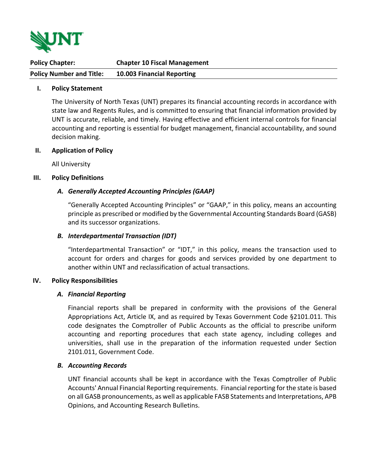

| <b>Policy Chapter:</b>          | <b>Chapter 10 Fiscal Management</b> |
|---------------------------------|-------------------------------------|
| <b>Policy Number and Title:</b> | 10.003 Financial Reporting          |

### **I. Policy Statement**

The University of North Texas (UNT) prepares its financial accounting records in accordance with state law and Regents Rules, and is committed to ensuring that financial information provided by UNT is accurate, reliable, and timely. Having effective and efficient internal controls for financial accounting and reporting is essential for budget management, financial accountability, and sound decision making.

#### **II. Application of Policy**

All University

### **III. Policy Definitions**

## *A. Generally Accepted Accounting Principles (GAAP)*

"Generally Accepted Accounting Principles" or "GAAP," in this policy, means an accounting principle as prescribed or modified by the Governmental Accounting Standards Board (GASB) and its successor organizations.

### *B. Interdepartmental Transaction (IDT)*

"Interdepartmental Transaction" or "IDT," in this policy, means the transaction used to account for orders and charges for goods and services provided by one department to another within UNT and reclassification of actual transactions.

#### **IV. Policy Responsibilities**

#### *A. Financial Reporting*

Financial reports shall be prepared in conformity with the provisions of the General Appropriations Act, Article IX, and as required by Texas Government Code §2101.011. This code designates the Comptroller of Public Accounts as the official to prescribe uniform accounting and reporting procedures that each state agency, including colleges and universities, shall use in the preparation of the information requested under Section 2101.011, Government Code.

## *B. Accounting Records*

UNT financial accounts shall be kept in accordance with the Texas Comptroller of Public Accounts' Annual Financial Reporting requirements. Financial reporting for the state is based on all GASB pronouncements, as well as applicable FASB Statements and Interpretations, APB Opinions, and Accounting Research Bulletins.